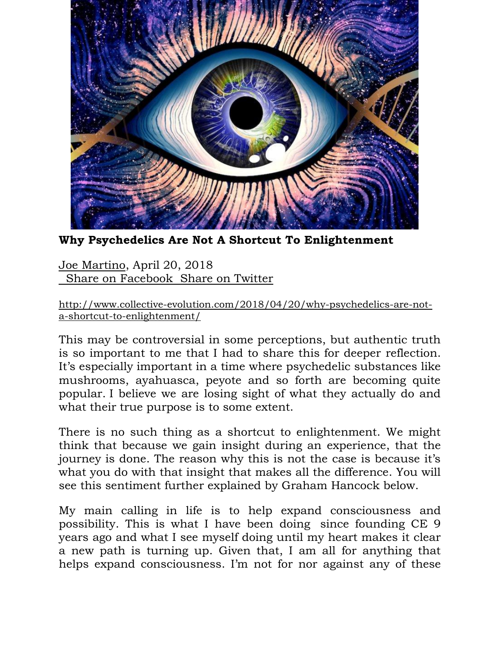

**Why Psychedelics Are Not A Shortcut To Enlightenment**

[Joe Martino,](http://www.collective-evolution.com/author/joe/) April 20, 2018  [Share on Facebook Share on Twitter](https://www.facebook.com/sharer/sharer.php?u=http%3A%2F%2Fwww.collective-evolution.com%2F2018%2F04%2F20%2Fwhy-psychedelics-are-not-a-shortcut-to-enlightenment%2F)

[http://www.collective-evolution.com/2018/04/20/why-psychedelics-are-not](http://www.collective-evolution.com/2018/04/20/why-psychedelics-are-not-a-shortcut-to-enlightenment/)[a-shortcut-to-enlightenment/](http://www.collective-evolution.com/2018/04/20/why-psychedelics-are-not-a-shortcut-to-enlightenment/)

This may be controversial in some perceptions, but authentic truth is so important to me that I had to share this for deeper reflection. It's especially important in a time where psychedelic substances like mushrooms, ayahuasca, peyote and so forth are becoming quite popular. I believe we are losing sight of what they actually do and what their true purpose is to some extent.

There is no such thing as a shortcut to enlightenment. We might think that because we gain insight during an experience, that the journey is done. The reason why this is not the case is because it's what you do with that insight that makes all the difference. You will see this sentiment further explained by Graham Hancock below.

My main calling in life is to help expand consciousness and possibility. This is what I have been doing since founding CE 9 years ago and what I see myself doing until my heart makes it clear a new path is turning up. Given that, I am all for anything that helps expand consciousness. I'm not for nor against any of these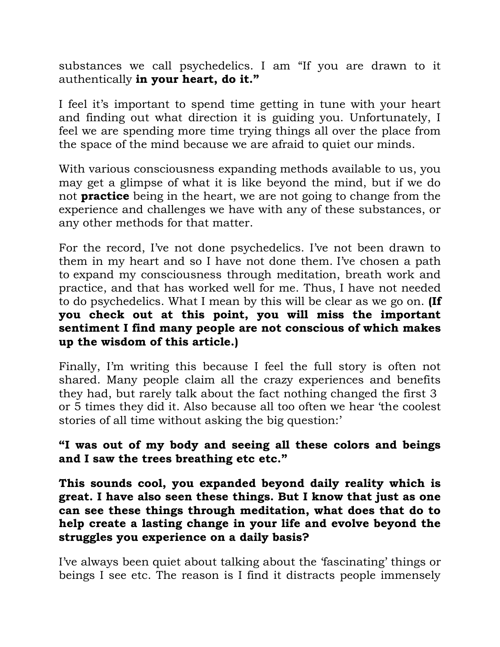substances we call psychedelics. I am "If you are drawn to it authentically **in your heart, do it."** 

I feel it's important to spend time getting in tune with your heart and finding out what direction it is guiding you. Unfortunately, I feel we are spending more time trying things all over the place from the space of the mind because we are afraid to quiet our minds.

With various consciousness expanding methods available to us, you may get a glimpse of what it is like beyond the mind, but if we do not **practice** being in the heart, we are not going to change from the experience and challenges we have with any of these substances, or any other methods for that matter.

For the record, I've not done psychedelics. I've not been drawn to them in my heart and so I have not done them. I've chosen a path to expand my consciousness through meditation, breath work and practice, and that has worked well for me. Thus, I have not needed to do psychedelics. What I mean by this will be clear as we go on. **(If you check out at this point, you will miss the important sentiment I find many people are not conscious of which makes up the wisdom of this article.)**

Finally, I'm writing this because I feel the full story is often not shared. Many people claim all the crazy experiences and benefits they had, but rarely talk about the fact nothing changed the first 3 or 5 times they did it. Also because all too often we hear 'the coolest stories of all time without asking the big question:'

### **"I was out of my body and seeing all these colors and beings and I saw the trees breathing etc etc."**

**This sounds cool, you expanded beyond daily reality which is great. I have also seen these things. But I know that just as one can see these things through meditation, what does that do to help create a lasting change in your life and evolve beyond the struggles you experience on a daily basis?**

I've always been quiet about talking about the 'fascinating' things or beings I see etc. The reason is I find it distracts people immensely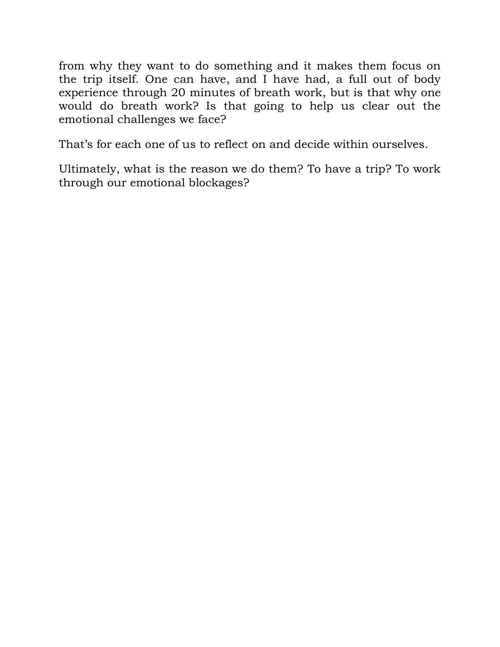from why they want to do something and it makes them focus on the trip itself. One can have, and I have had, a full out of body experience through 20 minutes of breath work, but is that why one would do breath work? Is that going to help us clear out the emotional challenges we face?

That's for each one of us to reflect on and decide within ourselves.

Ultimately, what is the reason we do them? To have a trip? To work through our emotional blockages?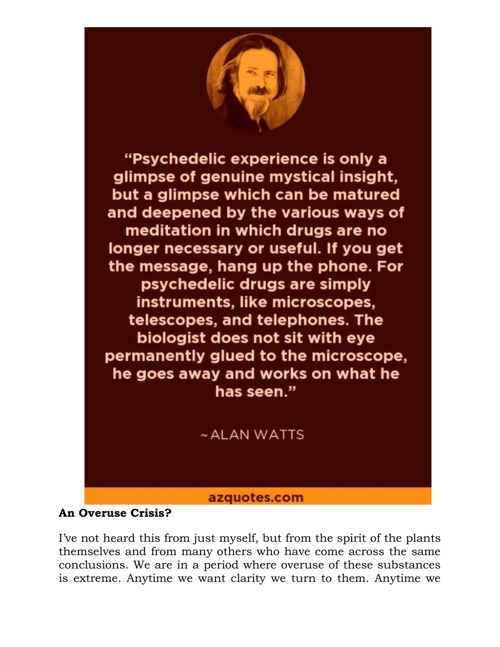

#### **An Overuse Crisis?**

I've not heard this from just myself, but from the spirit of the plants themselves and from many others who have come across the same conclusions. We are in a period where overuse of these substances is extreme. Anytime we want clarity we turn to them. Anytime we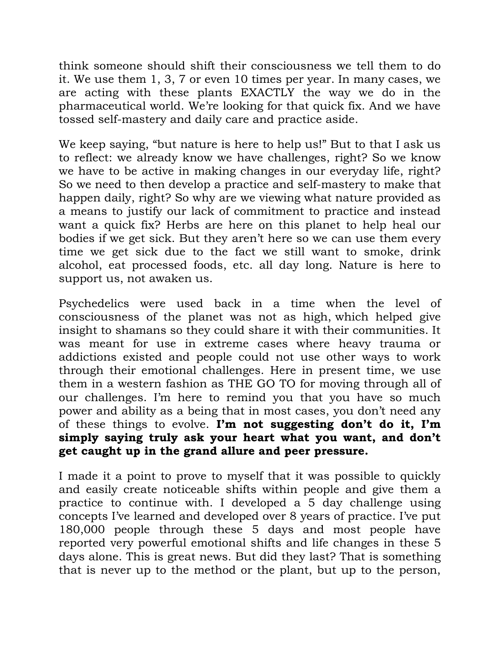think someone should shift their consciousness we tell them to do it. We use them 1, 3, 7 or even 10 times per year. In many cases, we are acting with these plants EXACTLY the way we do in the pharmaceutical world. We're looking for that quick fix. And we have tossed self-mastery and daily care and practice aside.

We keep saying, "but nature is here to help us!" But to that I ask us to reflect: we already know we have challenges, right? So we know we have to be active in making changes in our everyday life, right? So we need to then develop a practice and self-mastery to make that happen daily, right? So why are we viewing what nature provided as a means to justify our lack of commitment to practice and instead want a quick fix? Herbs are here on this planet to help heal our bodies if we get sick. But they aren't here so we can use them every time we get sick due to the fact we still want to smoke, drink alcohol, eat processed foods, etc. all day long. Nature is here to support us, not awaken us.

Psychedelics were used back in a time when the level of consciousness of the planet was not as high, which helped give insight to shamans so they could share it with their communities. It was meant for use in extreme cases where heavy trauma or addictions existed and people could not use other ways to work through their emotional challenges. Here in present time, we use them in a western fashion as THE GO TO for moving through all of our challenges. I'm here to remind you that you have so much power and ability as a being that in most cases, you don't need any of these things to evolve. **I'm not suggesting don't do it, I'm simply saying truly ask your heart what you want, and don't get caught up in the grand allure and peer pressure.**

I made it a point to prove to myself that it was possible to quickly and easily create noticeable shifts within people and give them a practice to continue with. I developed a 5 day challenge using concepts I've learned and developed over 8 years of practice. I've put 180,000 people through these 5 days and most people have reported very powerful emotional shifts and life changes in these 5 days alone. This is great news. But did they last? That is something that is never up to the method or the plant, but up to the person,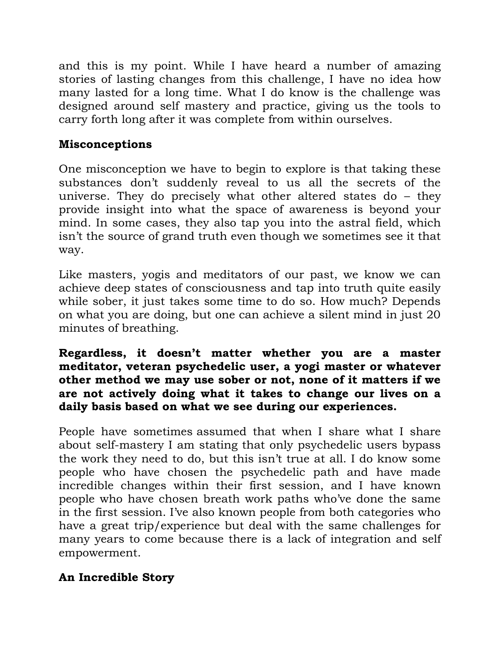and this is my point. While I have heard a number of amazing stories of lasting changes from this challenge, I have no idea how many lasted for a long time. What I do know is the challenge was designed around self mastery and practice, giving us the tools to carry forth long after it was complete from within ourselves.

### **Misconceptions**

One misconception we have to begin to explore is that taking these substances don't suddenly reveal to us all the secrets of the universe. They do precisely what other altered states do – they provide insight into what the space of awareness is beyond your mind. In some cases, they also tap you into the astral field, which isn't the source of grand truth even though we sometimes see it that way.

Like masters, yogis and meditators of our past, we know we can achieve deep states of consciousness and tap into truth quite easily while sober, it just takes some time to do so. How much? Depends on what you are doing, but one can achieve a silent mind in just 20 minutes of breathing.

#### **Regardless, it doesn't matter whether you are a master meditator, veteran psychedelic user, a yogi master or whatever other method we may use sober or not, none of it matters if we are not actively doing what it takes to change our lives on a daily basis based on what we see during our experiences.**

People have sometimes assumed that when I share what I share about self-mastery I am stating that only psychedelic users bypass the work they need to do, but this isn't true at all. I do know some people who have chosen the psychedelic path and have made incredible changes within their first session, and I have known people who have chosen breath work paths who've done the same in the first session. I've also known people from both categories who have a great trip/experience but deal with the same challenges for many years to come because there is a lack of integration and self empowerment.

# **An Incredible Story**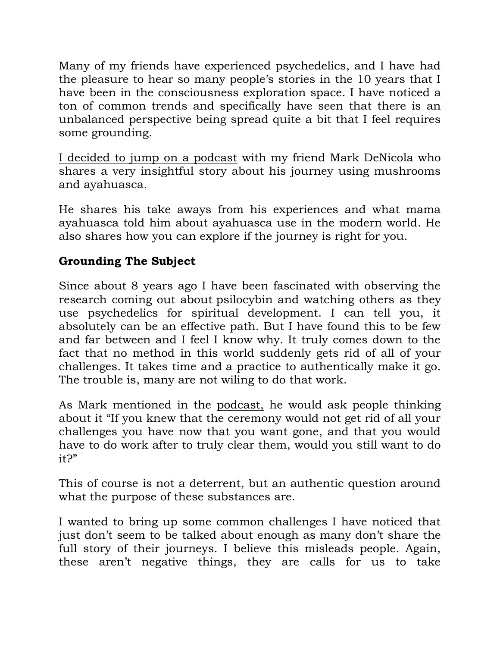Many of my friends have experienced psychedelics, and I have had the pleasure to hear so many people's stories in the 10 years that I have been in the consciousness exploration space. I have noticed a ton of common trends and specifically have seen that there is an unbalanced perspective being spread quite a bit that I feel requires some grounding.

[I decided to jump on a podcast](https://explorers.collective-evolution.com/exploring-the-purpose-of-psychedelics-mark-denicola-podcast/) with my friend Mark DeNicola who shares a very insightful story about his journey using mushrooms and ayahuasca.

He shares his take aways from his experiences and what mama ayahuasca told him about ayahuasca use in the modern world. He also shares how you can explore if the journey is right for you.

# **Grounding The Subject**

Since about 8 years ago I have been fascinated with observing the research coming out about psilocybin and watching others as they use psychedelics for spiritual development. I can tell you, it absolutely can be an effective path. But I have found this to be few and far between and I feel I know why. It truly comes down to the fact that no method in this world suddenly gets rid of all of your challenges. It takes time and a practice to authentically make it go. The trouble is, many are not wiling to do that work.

As Mark mentioned in the [podcast,](https://explorers.collective-evolution.com/exploring-the-purpose-of-psychedelics-mark-denicola-podcast/) he would ask people thinking about it "If you knew that the ceremony would not get rid of all your challenges you have now that you want gone, and that you would have to do work after to truly clear them, would you still want to do it?"

This of course is not a deterrent, but an authentic question around what the purpose of these substances are.

I wanted to bring up some common challenges I have noticed that just don't seem to be talked about enough as many don't share the full story of their journeys. I believe this misleads people. Again, these aren't negative things, they are calls for us to take